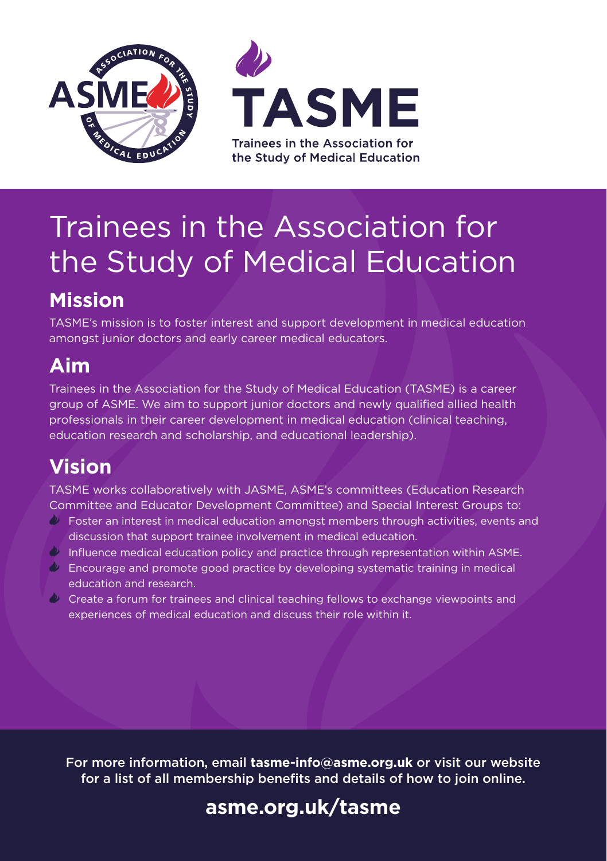



# Trainees in the Association for the Study of Medical Education

# **Mission**

TASME's mission is to foster interest and support development in medical education amongst junior doctors and early career medical educators.

## **Aim**

Trainees in the Association for the Study of Medical Education (TASME) is a career group of ASME. We aim to support junior doctors and newly qualified allied health professionals in their career development in medical education (clinical teaching, education research and scholarship, and educational leadership).

# **Vision**

TASME works collaboratively with JASME, ASME's committees (Education Research Committee and Educator Development Committee) and Special Interest Groups to:

- $\Diamond$  Foster an interest in medical education amongst members through activities, events and discussion that support trainee involvement in medical education.
- $\Diamond$  Influence medical education policy and practice through representation within ASME.
- $\Diamond$  Encourage and promote good practice by developing systematic training in medical education and research.
- $\Diamond$  Create a forum for trainees and clinical teaching fellows to exchange viewpoints and experiences of medical education and discuss their role within it.

For more information, email **tasme-info@asme.org.uk** or visit our website for a list of all membership benefits and details of how to join online.

# **[asme.org.uk/tasme](www.asme.org.uk/tasme)**